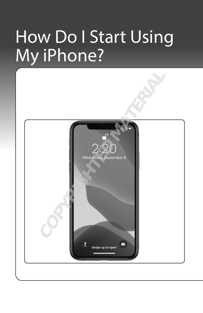# How Do I Start Using My iPhone?

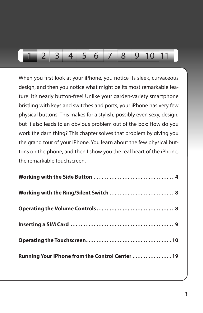#### 2 3 4 5 6 7 8 9 10 11 1

When you first look at your iPhone, you notice its sleek, curvaceous design, and then you notice what might be its most remarkable feature: It's nearly button-free! Unlike your garden-variety smartphone bristling with keys and switches and ports, your iPhone has very few physical buttons. This makes for a stylish, possibly even sexy, design, but it also leads to an obvious problem out of the box: How do you work the darn thing? This chapter solves that problem by giving you the grand tour of your iPhone. You learn about the few physical buttons on the phone, and then I show you the real heart of the iPhone, the remarkable touchscreen.

| Working with the Ring/Silent Switch  8          |
|-------------------------------------------------|
|                                                 |
|                                                 |
|                                                 |
| Running Your iPhone from the Control Center  19 |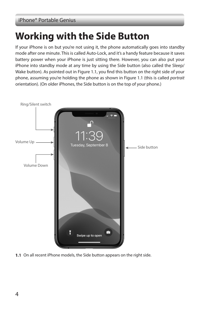# **Working with the Side Button**

If your iPhone is on but you're not using it, the phone automatically goes into standby mode after one minute. This is called Auto-Lock, and it's a handy feature because it saves battery power when your iPhone is just sitting there. However, you can also put your iPhone into standby mode at any time by using the Side button (also called the Sleep/ Wake button). As pointed out in Figure 1.1, you find this button on the right side of your phone, assuming you're holding the phone as shown in Figure 1.1 (this is called *portrait* orientation). (On older iPhones, the Side button is on the top of your phone.)



1.1 On all recent iPhone models, the Side button appears on the right side.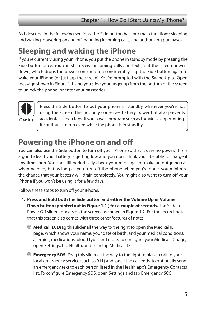### Chapter 1: How Do I Start Using My iPhone?

 As I describe in the following sections, the Side button has four main functions: sleeping and waking, powering on and off, handling incoming calls, and authorizing purchases.

### **Sleeping and waking the iPhone**

If you're currently using your iPhone, you put the phone in standby mode by pressing the Side button once. You can still receive incoming calls and texts, but the screen powers down, which drops the power consumption considerably. Tap the Side button again to wake your iPhone (or just tap the screen). You're prompted with the Swipe Up to Open message shown in Figure 1.1, and you slide your finger up from the bottom of the screen to unlock the phone (or enter your passcode).



Press the Side button to put your phone in standby whenever you're not using the screen. This not only conserves battery power but also prevents accidental screen taps. If you have a program such as the Music app running, it continues to run even while the phone is in standby.

### **Powering the iPhone on and off**

You can also use the Side button to turn off your iPhone so that it uses no power. This is a good idea if your battery is getting low and you don't think you'll be able to charge it any time soon. You can still periodically check your messages or make an outgoing call when needed, but as long as you turn off the phone when you're done, you minimize the chance that your battery will drain completely. You might also want to turn off your iPhone if you won't be using it for a few days.

Follow these steps to turn off your iPhone:

- **1. Press and hold both the Side button and either the Volume Up or Volume Down button (pointed out in Figure 1.1 ) for a couple of seconds.** The Slide to Power Off slider appears on the screen, as shown in Figure 1.2 . For the record, note that this screen also comes with three other features of note:
	- **Medical ID.** Drag this slider all the way to the right to open the Medical ID page, which shows your name, your date of birth, and your medical conditions, allergies, medications, blood type, and more. To configure your Medical ID page, open Settings, tap Health, and then tap Medical ID.
	- **Emergency SOS.** Drag this slider all the way to the right to place a call to your local emergency service (such as 911) and, once the call ends, to optionally send an emergency text to each person listed in the Health app's Emergency Contacts list. To configure Emergency SOS, open Settings and tap Emergency SOS.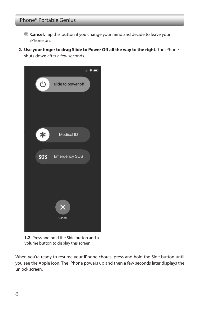- **Cancel.** Tap this button if you change your mind and decide to leave your iPhone on.
- 2. Use your finger to drag Slide to Power Off all the way to the right. The iPhone shuts down after a few seconds.

|            |                    | ᇓᅌᆖ |
|------------|--------------------|-----|
| $\bigcirc$ | slide to power off |     |
|            |                    |     |
|            |                    |     |
| $\ast$     | Medical ID         |     |
|            |                    |     |
| <b>SOS</b> | Emergency SOS      |     |
|            |                    |     |
|            |                    |     |
|            |                    |     |
|            |                    |     |
|            | Cancel             |     |

 **1.2** Press and hold the Side button and a Volume button to display this screen.

When you're ready to resume your iPhone chores, press and hold the Side button until you see the Apple icon. The iPhone powers up and then a few seconds later displays the unlock screen.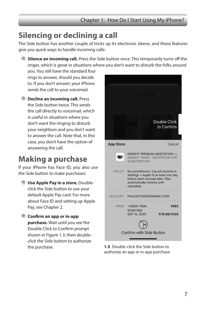### **Silencing or declining a call**

 The Side button has another couple of tricks up its electronic sleeve, and these features give you quick ways to handle incoming calls:

**Silence an incoming call.** Press the Side button once. This temporarily turns off the ringer, which is great in situations where you don't want to disturb the folks around

you. You still have the standard four rings to answer, should you decide to. If you don't answer, your iPhone sends the call to your voicemail.

**Decline an incoming call.** Press the Side button twice. This sends the call directly to voicemail, which is useful in situations where you don't want the ringing to disturb your neighbors and you don't want to answer the call. Note that, in this case, you don't have the option of answering the call.

### **Making a purchase**

 If your iPhone has Face ID, you also use the Side button to make purchases:

- **Use Apple Pay in a store.** Doubleclick the Side button to use your default Apple Pay card. For more about Face ID and setting up Apple Pay, see Chapter 2.
- **Confi rm an app or in-app purchase.** Wait until you see the Double Click to Confirm prompt shown in Figure 1.3; then doubleclick the Side button to authorize the purchase. **1.3** Double-click the Side button to



authorize an app or in-app purchase.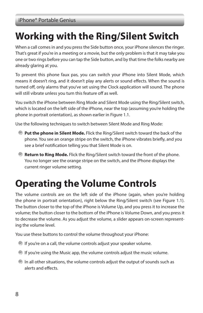# **Working with the Ring/Silent Switch**

 When a call comes in and you press the Side button once, your iPhone silences the ringer. That's great if you're in a meeting or a movie, but the only problem is that it may take you one or two rings before you can tap the Side button, and by that time the folks nearby are already glaring at you.

 To prevent this phone faux pas, you can switch your iPhone into Silent Mode, which means it doesn't ring, and it doesn't play any alerts or sound effects. When the sound is turned off, only alarms that you've set using the Clock application will sound. The phone will still vibrate unless you turn this feature off as well.

 You switch the iPhone between Ring Mode and Silent Mode using the Ring/Silent switch, which is located on the left side of the iPhone, near the top (assuming you're holding the phone in portrait orientation), as shown earlier in Figure 1.1 .

Use the following techniques to switch between Silent Mode and Ring Mode:

- **Put the phone in Silent Mode.** Flick the Ring/Silent switch toward the back of the phone. You see an orange stripe on the switch, the iPhone vibrates briefly, and you see a brief notification telling you that Silent Mode is on.
- **Return to Ring Mode.** Flick the Ring/Silent switch toward the front of the phone. You no longer see the orange stripe on the switch, and the iPhone displays the current ringer volume setting.

# **Operating the Volume Controls**

The volume controls are on the left side of the iPhone (again, when you're holding the phone in portrait orientation), right below the Ring/Silent switch (see Figure 1.1). The button closer to the top of the iPhone is Volume Up, and you press it to increase the volume; the button closer to the bottom of the iPhone is Volume Down, and you press it to decrease the volume. As you adjust the volume, a slider appears on-screen representing the volume level.

You use these buttons to control the volume throughout your iPhone:

- $\bullet$  If you're on a call, the volume controls adjust your speaker volume.
- $\bullet$  If you're using the Music app, the volume controls adjust the music volume.
- $\bullet$  In all other situations, the volume controls adjust the output of sounds such as alerts and effects.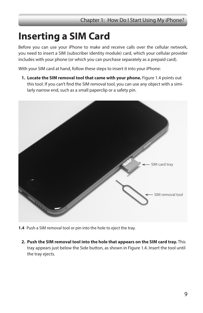## **Inserting a SIM Card**

 Before you can use your iPhone to make and receive calls over the cellular network, you need to insert a SIM (subscriber identity module) card, which your cellular provider includes with your phone (or which you can purchase separately as a prepaid card).

With your SIM card at hand, follow these steps to insert it into your iPhone:

**1. Locate the SIM removal tool that came with your phone.** Figure 1.4 points out this tool. If you can't find the SIM removal tool, you can use any object with a similarly narrow end, such as a small paperclip or a safety pin.



 **1.4** Push a SIM removal tool or pin into the hole to eject the tray.

**2. Push the SIM removal tool into the hole that appears on the SIM card tray.** This tray appears just below the Side button, as shown in Figure 1.4 . Insert the tool until the tray ejects.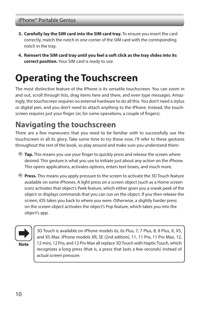- **3. Carefully lay the SIM card into the SIM card tray.** To ensure you insert the card correctly, match the notch in one corner of the SIM card with the corresponding notch in the tray.
- **4. Reinsert the SIM card tray until you feel a soft click as the tray slides into its correct position.** Your SIM card is ready to use.

# **Operating the Touchscreen**

 The most distinctive feature of the iPhone is its versatile touchscreen. You can zoom in and out, scroll through lists, drag items here and there, and even type messages. Amazingly, the touchscreen requires no external hardware to do all this. You don't need a stylus or digital pen, and you don't need to attach anything to the iPhone. Instead, the touchscreen requires just your finger (or, for some operations, a couple of fingers).

### **Navigating the touchscreen**

 There are a few maneuvers that you need to be familiar with to successfully use the touchscreen in all its glory. Take some time to try these now. I'll refer to these gestures throughout the rest of the book, so play around and make sure you understand them:

- **Tap.** This means you use your finger to quickly press and release the screen where desired. This gesture is what you use to initiate just about any action on the iPhone. This opens applications, activates options, enters text boxes, and much more.
- **Press.** This means you apply pressure to the screen to activate the 3D Touch feature available on some iPhones. A light press on a screen object (such as a Home screen icon) activates that object's Peek feature, which either gives you a sneak peek of the object or displays commands that you can run on the object. If you then release the screen, iOS takes you back to where you were. Otherwise, a slightly harder press on the screen object activates the object's Pop feature, which takes you into the object's app.



 3D Touch is available on iPhone models 6s, 6s Plus, 7, 7 Plus, 8, 8 Plus, X, XS, and XS Max. iPhone models XR, SE (2nd edition), 11, 11 Pro, 11 Pro Max, 12, 12 mini, 12 Pro, and 12 Pro Max all replace 3D Touch with Haptic Touch, which recognizes a long press (that is, a press that lasts a few seconds) instead of actual screen pressure.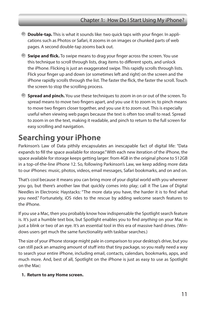- **Double-tap.** This is what it sounds like: two quick taps with your finger. In applications such as Photos or Safari, it zooms in on images or chunked parts of web pages. A second double-tap zooms back out.
- **Swipe and flick.** To swipe means to drag your finger across the screen. You use this technique to scroll through lists, drag items to different spots, and unlock the iPhone. Flicking is just an exaggerated swipe. This rapidly scrolls through lists. Flick your finger up and down (or sometimes left and right) on the screen and the iPhone rapidly scrolls through the list. The faster the flick, the faster the scroll. Touch the screen to stop the scrolling process.
- **Spread and pinch.** You use these techniques to zoom in on or out of the screen. To spread means to move two fingers apart, and you use it to zoom in; to pinch means to move two fingers closer together, and you use it to zoom out. This is especially useful when viewing web pages because the text is often too small to read. Spread to zoom in on the text, making it readable, and pinch to return to the full screen for easy scrolling and navigation.

### **Searching your iPhone**

Parkinson's Law of Data pithily encapsulates an inescapable fact of digital life: "Data expands to fill the space available for storage." With each new iteration of the iPhone, the space available for storage keeps getting larger: from 4GB in the original phone to 512GB in a top-of-the-line iPhone 12. So, following Parkinson's Law, we keep adding more data to our iPhones: music, photos, videos, email messages, Safari bookmarks, and on and on.

That's cool because it means you can bring more of your digital world with you wherever you go, but there's another law that quickly comes into play; call it The Law of Digital Needles in Electronic Haystacks: "The more data you have, the harder it is to find what you need." Fortunately, iOS rides to the rescue by adding welcome search features to the iPhone.

 If you use a Mac, then you probably know how indispensable the Spotlight search feature is. It's just a humble text box, but Spotlight enables you to find *anything* on your Mac in just a blink or two of an eye. It's an essential tool in this era of massive hard drives. (Windows users get much the same functionality with taskbar searches.)

The size of your iPhone storage might pale in comparison to your desktop's drive, but you can still pack an amazing amount of stuff into that tiny package, so you really need a way to search your entire iPhone, including email, contacts, calendars, bookmarks, apps, and much more. And, best of all, Spotlight on the iPhone is just as easy to use as Spotlight on the Mac:

#### **1. Return to any Home screen.**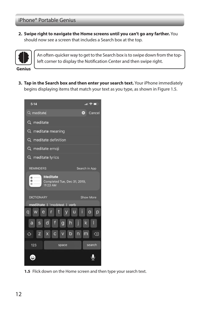**2. Swipe right to navigate the Home screens until you can't go any farther.** You should now see a screen that includes a Search box at the top.



 An often-quicker way to get to the Search box is to swipe down from the topleft corner to display the Notification Center and then swipe right.

**3. Tap in the Search box and then enter your search text.** Your iPhone immediately begins displaying items that match your text as you type, as shown in Figure 1.5 .



**1.5** Flick down on the Home screen and then type your search text.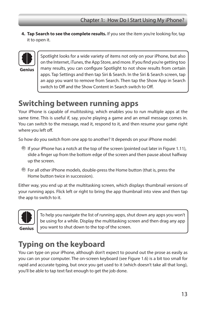4. Tap Search to see the complete results. If you see the item you're looking for, tap it to open it.



 Spotlight looks for a wide variety of items not only on your iPhone, but also on the Internet, iTunes, the App Store, and more. If you find you're getting too many results, you can configure Spotlight to not show results from certain apps. Tap Settings and then tap Siri & Search. In the Siri & Search screen, tap an app you want to remove from Search. Then tap the Show App in Search switch to Off and the Show Content in Search switch to Off.

### **Switching between running apps**

Your iPhone is capable of multitasking, which enables you to run multiple apps at the same time. This is useful if, say, you're playing a game and an email message comes in. You can switch to the message, read it, respond to it, and then resume your game right where you left off.

So how do you switch from one app to another? It depends on your iPhone model:

- $\bullet$  If your iPhone has a notch at the top of the screen (pointed out later in Figure 1.11), slide a finger up from the bottom edge of the screen and then pause about halfway up the screen.
- $\bullet$  For all other iPhone models, double-press the Home button (that is, press the Home button twice in succession).

 Either way, you end up at the multitasking screen, which displays thumbnail versions of your running apps. Flick left or right to bring the app thumbnail into view and then tap the app to switch to it.



To help you navigate the list of running apps, shut down any apps you won't be using for a while. Display the multitasking screen and then drag any app  $\overline{\mathbf{Genius}}$   $\vert$  you want to shut down to the top of the screen.

### **Typing on the keyboard**

You can type on your iPhone, although don't expect to pound out the prose as easily as you can on your computer. The on-screen keyboard (see Figure 1.6 ) is a bit too small for rapid and accurate typing, but once you get used to it (which doesn't take all that long), you'll be able to tap text fast enough to get the job done.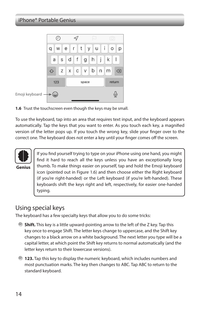

 **1.6** Trust the touchscreen even though the keys may be small.

 To use the keyboard, tap into an area that requires text input, and the keyboard appears automatically. Tap the keys that you want to enter. As you touch each key, a magnified version of the letter pops up. If you touch the wrong key, slide your finger over to the correct one. The keyboard does not enter a key until your finger comes off the screen.



If you find yourself trying to type on your iPhone using one hand, you might find it hard to reach all the keys unless you have an exceptionally long thumb. To make things easier on yourself, tap and hold the Emoji keyboard icon (pointed out in Figure 1.6) and then choose either the Right keyboard (if you're right-handed) or the Left keyboard (if you're left-handed). These keyboards shift the keys right and left, respectively, for easier one-handed typing.

### Using special keys

The keyboard has a few specialty keys that allow you to do some tricks:

- **Shift.** This key is a little upward-pointing arrow to the left of the Z key. Tap this key once to engage Shift. The letter keys change to uppercase, and the Shift key changes to a black arrow on a white background. The next letter you type will be a capital letter, at which point the Shift key returns to normal automatically (and the letter keys return to their lowercase versions).
- **123.** Tap this key to display the numeric keyboard, which includes numbers and most punctuation marks. The key then changes to ABC. Tap ABC to return to the standard keyboard.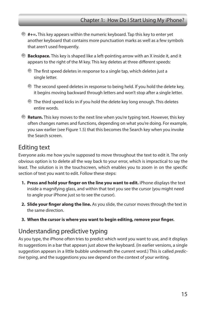### Chapter 1: How Do I Start Using My iPhone?

- **#+=.** This key appears within the numeric keyboard. Tap this key to enter yet another keyboard that contains more punctuation marks as well as a few symbols that aren't used frequently.
- **Backspace.** This key is shaped like a left-pointing arrow with an X inside it, and it appears to the right of the M key. This key deletes at three different speeds:
	- $\bullet$  The first speed deletes in response to a single tap, which deletes just a single letter.
	- $\bullet$  The second speed deletes in response to being held. If you hold the delete key, it begins moving backward through letters and won't stop after a single letter.
	- The third speed kicks in if you hold the delete key long enough. This deletes entire words.
- **Return.** This key moves to the next line when you're typing text. However, this key often changes names and functions, depending on what you're doing. For example, you saw earlier (see Figure 1.5 ) that this becomes the Search key when you invoke the Search screen.

### Editing text

Everyone asks me how you're supposed to move throughout the text to edit it. The only obvious option is to delete all the way back to your error, which is impractical to say the least. The solution is in the touchscreen, which enables you to zoom in on the specific section of text you want to edit. Follow these steps:

- 1. Press and hold your finger on the line you want to edit. iPhone displays the text inside a magnifying glass, and within that text you see the cursor (you might need to angle your iPhone just so to see the cursor).
- **2. Slide your finger along the line.** As you slide, the cursor moves through the text in the same direction.
- **3. When the cursor is where you want to begin editing, remove your finger.**

### Understanding predictive typing

 As you type, the iPhone often tries to predict which word you want to use, and it displays its suggestions in a bar that appears just above the keyboard. (In earlier versions, a single suggestion appears in a little bubble underneath the current word.) This is called predictive typing, and the suggestions you see depend on the context of your writing.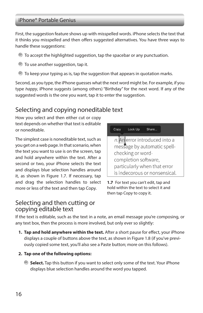First, the suggestion feature shows up with misspelled words. iPhone selects the text that it thinks you misspelled and then offers suggested alternatives. You have three ways to handle these suggestions:

- To accept the highlighted suggestion, tap the spacebar or any punctuation.
- To use another suggestion, tap it.
- $\bullet$  To keep your typing as is, tap the suggestion that appears in quotation marks.

 Second, as you type, the iPhone guesses what the next word might be. For example, if you type happy, iPhone suggests (among others) "Birthday" for the next word. If any of the suggested words is the one you want, tap it to enter the suggestion.

### Selecting and copying noneditable text

 How you select and then either cut or copy text depends on whether that text is editable or noneditable.

 The simplest case is noneditable text, such as you get on a web page. In that scenario, when the text you want to use is on the screen, tap and hold anywhere within the text. After a second or two, your iPhone selects the text and displays blue selection handles around it, as shown in Figure 1.7 . If necessary, tap and drag the selection handles to select more or less of the text and then tap Copy.

### Selecting and then cutting or copying editable text



**1.7** For text you can't edit, tap and hold within the text to select it and then tap Copy to copy it.

If the text is editable, such as the text in a note, an email message you're composing, or any text box, then the process is more involved, but only ever so slightly:

**1. Tap and hold anywhere within the text.** After a short pause for effect, your iPhone displays a couple of buttons above the text, as shown in Figure 1.8 (if you've previously copied some text, you'll also see a Paste button; more on this follows).

#### **2. Tap one of the following options:**

 **Select.** Tap this button if you want to select only some of the text. Your iPhone displays blue selection handles around the word you tapped.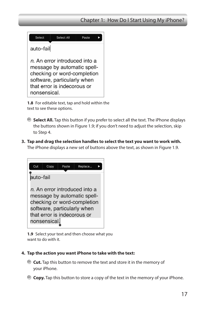### Chapter 1: How Do I Start Using My iPhone?



 **1.8** For editable text, tap and hold within the text to see these options.

- **Select All.** Tap this button if you prefer to select all the text. The iPhone displays the buttons shown in Figure 1.9; if you don't need to adjust the selection, skip to Step 4.
- **3. Tap and drag the selection handles to select the text you want to work with.** The iPhone displays a new set of buttons above the text, as shown in Figure 1.9 .

| Cut<br>Replace<br>Paste<br>Copy<br>auto-fail |
|----------------------------------------------|
|                                              |
|                                              |
|                                              |
| n. An error introduced into a                |
| message by automatic spell-                  |
| checking or word-completion                  |
| software, particularly when                  |
| that error is indecorous or                  |
| nonsensical.                                 |

 **1.9** Select your text and then choose what you want to do with it.

#### **4. Tap the action you want iPhone to take with the text:**

- **Cut.** Tap this button to remove the text and store it in the memory of your iPhone.
- **Copy.** Tap this button to store a copy of the text in the memory of your iPhone.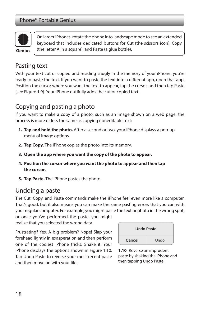

 On larger iPhones, rotate the phone into landscape mode to see an extended keyboard that includes dedicated buttons for Cut (the scissors icon), Copy Genius | (the letter A in a square), and Paste (a glue bottle).

### Pasting text

With your text cut or copied and residing snugly in the memory of your iPhone, you're ready to paste the text. If you want to paste the text into a different app, open that app. Position the cursor where you want the text to appear, tap the cursor, and then tap Paste (see Figure 1.9). Your iPhone dutifully adds the cut or copied text.

### Copying and pasting a photo

 If you want to make a copy of a photo, such as an image shown on a web page, the process is more or less the same as copying noneditable text:

- **1. Tap and hold the photo.** After a second or two, your iPhone displays a pop-up menu of image options.
- **2. Tap Copy.** The iPhone copies the photo into its memory.
- **3. Open the app where you want the copy of the photo to appear.**
- **4. Position the cursor where you want the photo to appear and then tap the cursor.**
- **5. Tap Paste.** The iPhone pastes the photo.

### Undoing a paste

 The Cut, Copy, and Paste commands make the iPhone feel even more like a computer. That's good, but it also means you can make the same pasting errors that you can with your regular computer. For example, you might paste the text or photo in the wrong spot,

or once you've performed the paste, you might realize that you selected the wrong data.

 Frustrating? Yes. A big problem? Nope! Slap your forehead lightly in exasperation and then perform one of the coolest iPhone tricks: Shake it. Your iPhone displays the options shown in Figure 1.10. Tap Undo Paste to reverse your most recent paste and then move on with your life.



 **1.10** Reverse an imprudent paste by shaking the iPhone and then tapping Undo Paste.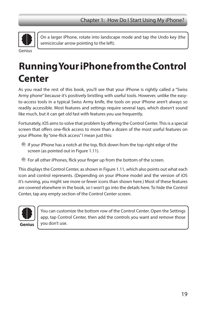

 On a larger iPhone, rotate into landscape mode and tap the Undo key (the semicircular arrow pointing to the left).

 **Running Your iPhone from the Control Center** 

As you read the rest of this book, you'll see that your iPhone is rightly called a "Swiss Army phone" because it's positively bristling with useful tools. However, unlike the easyto-access tools in a typical Swiss Army knife, the tools on your iPhone aren't always so readily accessible. Most features and settings require several taps, which doesn't sound like much, but it can get old fast with features you use frequently.

Fortunately, iOS aims to solve that problem by offering the Control Center. This is a special screen that offers one-flick access to more than a dozen of the most useful features on your iPhone. By "one-flick access" I mean just this:

- $\bullet$  If your iPhone has a notch at the top, flick down from the top-right edge of the screen (as pointed out in Figure 1.11).
- $\bullet$  For all other iPhones, flick your finger up from the bottom of the screen.

 This displays the Control Center, as shown in Figure 1.11 , which also points out what each icon and control represents. (Depending on your iPhone model and the version of iOS it's running, you might see more or fewer icons than shown here.) Most of these features are covered elsewhere in the book, so I won't go into the details here. To hide the Control Center, tap any empty section of the Control Center screen.



 You can customize the bottom row of the Control Center. Open the Settings app, tap Control Center, then add the controls you want and remove those Genius you don't use.